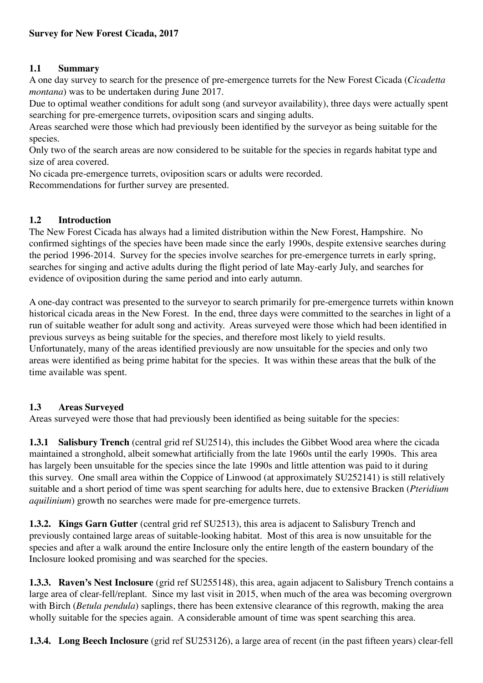## **1.1 Summary**

A one day survey to search for the presence of pre-emergence turrets for the New Forest Cicada (*Cicadetta montana*) was to be undertaken during June 2017.

Due to optimal weather conditions for adult song (and surveyor availability), three days were actually spent searching for pre-emergence turrets, oviposition scars and singing adults.

Areas searched were those which had previously been identified by the surveyor as being suitable for the species.

Only two of the search areas are now considered to be suitable for the species in regards habitat type and size of area covered.

No cicada pre-emergence turrets, oviposition scars or adults were recorded.

Recommendations for further survey are presented.

## **1.2 Introduction**

The New Forest Cicada has always had a limited distribution within the New Forest, Hampshire. No confirmed sightings of the species have been made since the early 1990s, despite extensive searches during the period 1996-2014. Survey for the species involve searches for pre-emergence turrets in early spring, searches for singing and active adults during the flight period of late May-early July, and searches for evidence of oviposition during the same period and into early autumn.

A one-day contract was presented to the surveyor to search primarily for pre-emergence turrets within known historical cicada areas in the New Forest. In the end, three days were committed to the searches in light of a run of suitable weather for adult song and activity. Areas surveyed were those which had been identified in previous surveys as being suitable for the species, and therefore most likely to yield results. Unfortunately, many of the areas identified previously are now unsuitable for the species and only two areas were identified as being prime habitat for the species. It was within these areas that the bulk of the time available was spent.

## **1.3 Areas Surveyed**

Areas surveyed were those that had previously been identified as being suitable for the species:

**1.3.1 Salisbury Trench** (central grid ref SU2514), this includes the Gibbet Wood area where the cicada maintained a stronghold, albeit somewhat artificially from the late 1960s until the early 1990s. This area has largely been unsuitable for the species since the late 1990s and little attention was paid to it during this survey. One small area within the Coppice of Linwood (at approximately SU252141) is still relatively suitable and a short period of time was spent searching for adults here, due to extensive Bracken (*Pteridium aquilinium*) growth no searches were made for pre-emergence turrets.

**1.3.2. Kings Garn Gutter** (central grid ref SU2513), this area is adjacent to Salisbury Trench and previously contained large areas of suitable-looking habitat. Most of this area is now unsuitable for the species and after a walk around the entire Inclosure only the entire length of the eastern boundary of the Inclosure looked promising and was searched for the species.

**1.3.3. Raven's Nest Inclosure** (grid ref SU255148), this area, again adjacent to Salisbury Trench contains a large area of clear-fell/replant. Since my last visit in 2015, when much of the area was becoming overgrown with Birch (*Betula pendula*) saplings, there has been extensive clearance of this regrowth, making the area wholly suitable for the species again. A considerable amount of time was spent searching this area.

**1.3.4. Long Beech Inclosure** (grid ref SU253126), a large area of recent (in the past fifteen years) clear-fell